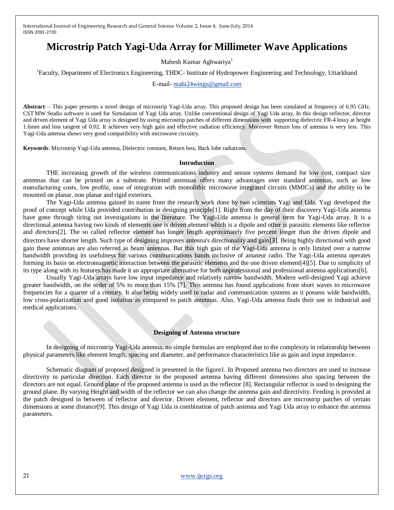# **Microstrip Patch Yagi-Uda Array for Millimeter Wave Applications**

Mahesh Kumar Aghwariya<sup>1</sup>

<sup>1</sup>Faculty, Department of Electronics Engineering, THDC- Institute of Hydropower Engineering and Technology, Uttarkhand

E-mail- [mahi24wings@gmail.com](mailto:mahi24wings@gmail.com)

**Abstract**— This paper presents a novel design of microstrip Yagi-Uda array. This proposed design has been simulated at frequency of 6.95 GHz. CST MW Studio software is used for Simulation of Yagi Uda array. Unlike conventional design of Yagi Uda array, In this design reflector, director and driven element of Yagi Uda array is designed by using microstrip patches of different dimensions with supporting dielectric FR-4 lossy at height 1.6mm and loss tangent of 0.02. It achieves very high gain and effective radiation efficiency. Moreover Return loss of antenna is very less. This Yagi-Uda antenna shows very good compatibility with microwave circuitry.

**Keywords**: Microstrip Yagi-Uda antenna, Dielectric constant, Return loss, Back lobe radiations.

#### **Introduction**

THE increasing growth of the wireless communications industry and sensor systems demand for low cost, compact size antennas that can be printed on a substrate. Printed antennas offers many advantages over standard antennas, such as low manufacturing costs, low profile, ease of integration with monolithic microwave integrated circuits (MMICs) and the ability to be mounted on planar, non planar and rigid exteriors.

The Yagi-Uda antenna gained its name from the research work done by two scientists Yagi and Uda. Yagi developed the proof of concept while Uda provided contribution in designing principle[1]. Right from the day of their discovery Yagi-Uda antenna have gone through tiring out investigations in the literature. The Yagi-Uda antenna is general term for Yagi-Uda array. It is a [directional](mhtml:file://\\%2F%2FE:%5Cmahesh%20thesis%5CYagi-Uda%20antenna%20-%20eNotes.com%20Reference.mht!%2Ftopic%2FDirectional_antenna) antenna having two kinds of elements one is driven element which is a [dipole](mhtml:file://\\%2F%2FE:%5Cmahesh%20thesis%5CYagi-Uda%20antenna%20-%20eNotes.com%20Reference.mht!%2Ftopic%2FDipole_antenna) and other is parasitic elements like reflector and directors[2]. The so called reflector element has longer length approximately five percent longer than the driven dipole and directors have shorter length. Such type of designing improves antenna'[s directionality](mhtml:file://\\%2F%2FE:%5Cmahesh%20thesis%5CYagi-Uda%20antenna%20-%20eNotes.com%20Reference.mht!%2Ftopic%2FDirectional_antenna) an[d gain](mhtml:file://\\%2F%2FE:%5Cmahesh%20thesis%5CYagi-Uda%20antenna%20-%20eNotes.com%20Reference.mht!%2Ftopic%2FAntenna_gain)[3]. Being highly directional with good gain these antennas are also referred as beam antennas. But this high gain of the Yagi-Uda antenna is only limited over a narrow bandwidth providing its usefulness for various communications bands inclusive of amateur radio. The Yagi-Uda antenna operates forming its basis on electromagnetic interaction between the parasitic elements and the one driven element[4][5]. Due to simplicity of its type along with its features has made it an appropriate alternative for both unprofessional and professional antenna applications[6].

Usually Yagi-Uda arrays have low input impedance and relatively narrow bandwidth. Modern well-designed Yagi achieve greater bandwidth, on the order of 5% to more than 15% [7]. This antenna has found applications from short waves to microwave frequencies for a quarter of a century. It also being widely used in radar and communication systems as it possess wide bandwidth, low cross-polarization and good isolation as compared to patch antennas. Also, Yagi-Uda antenna finds their use in industrial and medical applications.

### **Designing of Antenna structure**

In designing of microstrip Yagi-Uda antenna, no simple formulas are employed due to the complexity in relationship between physical parameters like element length, spacing and diameter, and performance characteristics like as gain and input impedance.

Schematic diagram of proposed designed is presented in the figure1. In Proposed antenna two directors are used to increase directivity in particular direction. Each director in the proposed antenna having different dimensions also spacing between the directors are not equal. Ground plane of the proposed antenna is used as the reflector [8]. Rectangular reflector is used to designing the ground plane. By varying Height and width of the reflector we can also change the antenna gain and directivity. Feeding is provided at the patch designed in between of reflector and director. Driven element, reflector and directors are microstrip patches of certain dimensions at some distance[9]. This design of Yagi Uda is combination of patch antenna and Yagi Uda array to enhance the antenna parameters.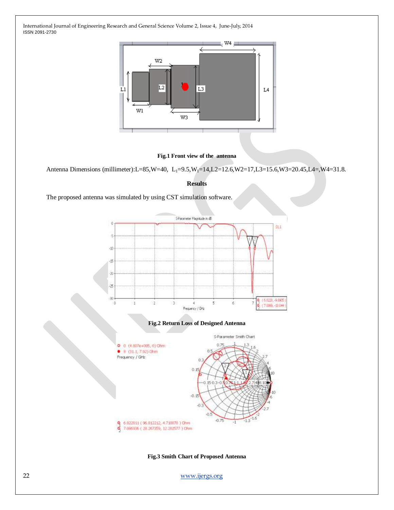

#### **Fig.1 Front view of the antenna**

Antenna Dimensions (millimeter):L=85,W=40, L<sub>1</sub>=9.5,W<sub>1</sub>=14,L2=12.6,W2=17,L3=15.6,W3=20.45,L4=,W4=31.8.

#### **Results**

The proposed antenna was simulated by using CST simulation software.



**Fig.3 Smith Chart of Proposed Antenna**

22 [www.ijergs.org](http://www.ijergs.org/)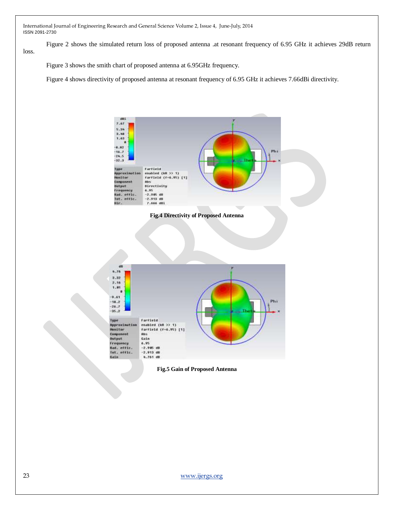Figure 2 shows the simulated return loss of proposed antenna .at resonant frequency of 6.95 GHz it achieves 29dB return loss.

Figure 3 shows the smith chart of proposed antenna at 6.95GHz frequency.

Figure 4 shows directivity of proposed antenna at resonant frequency of 6.95 GHz it achieves 7.66dBi directivity.



**Fig.4 Directivity of Proposed Antenna**



**Fig.5 Gain of Proposed Antenna**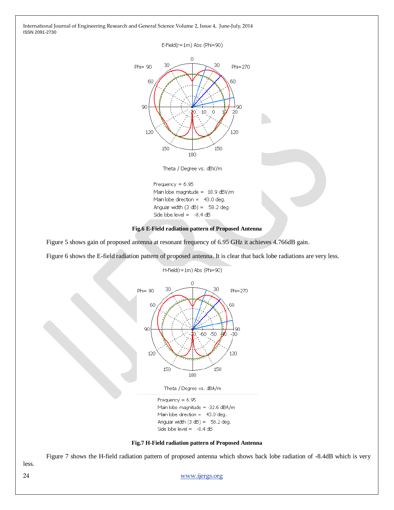E-Field(r=1m) Abs (Phi=90)



Theta / Degree vs. dBV/m

Frequency  $= 6.95$ Main lobe magnitude =  $18.9$  dBV/m Main lobe direction  $=$  43.0 deg. Angular width  $(3 dB) = 58.2 deg.$ Side lobe level =  $-8.4$  dB

#### **Fig.6 E-Field radiation pattern of Proposed Antenna**

Figure 5 shows gain of proposed antenna at resonant frequency of 6.95 GHz it achieves 4.766dB gain.

Figure 6 shows the E-field radiation pattern of proposed antenna. It is clear that back lobe radiations are very less.

H-Field(r=1m) Abs (Phi=90)



Theta / Degree vs. dBA/m

Frequency =  $6.95$ Main lobe magnitude = -32.6 dBA/m Main lobe direction  $=$  43.0 deg. Angular width  $(3 dB) = 58.2 deg.$ Side lobe level =  $-8.4$  dB

#### **Fig.7 H-Field radiation pattern of Proposed Antenna**

Figure 7 shows the H-field radiation pattern of proposed antenna which shows back lobe radiation of -8.4dB which is very

less.